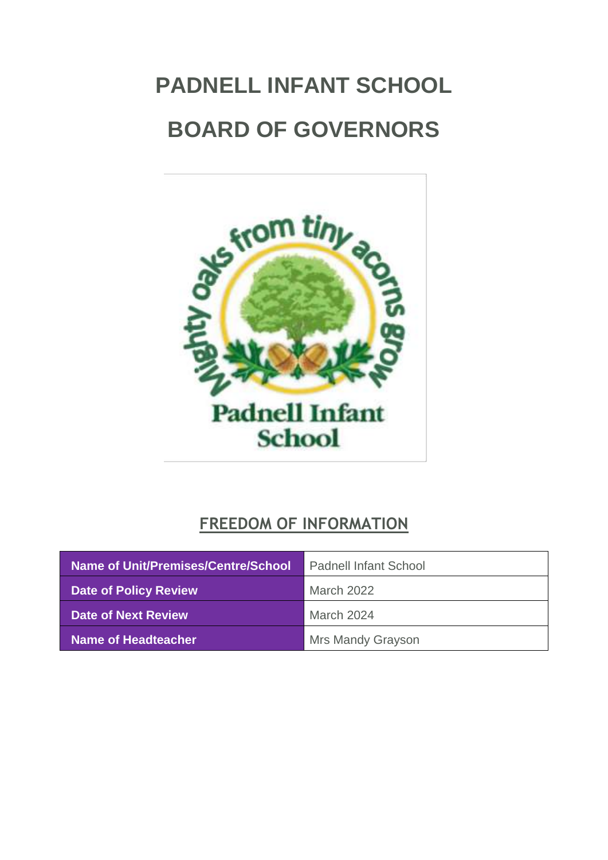# <span id="page-0-0"></span>**PADNELL INFANT SCHOOL BOARD OF GOVERNORS**



# **FREEDOM OF INFORMATION**

| Name of Unit/Premises/Centre/School | <b>Padnell Infant School</b> |
|-------------------------------------|------------------------------|
| <b>Date of Policy Review</b>        | March 2022                   |
| Date of Next Review                 | March 2024                   |
| Name of Headteacher                 | <b>Mrs Mandy Grayson</b>     |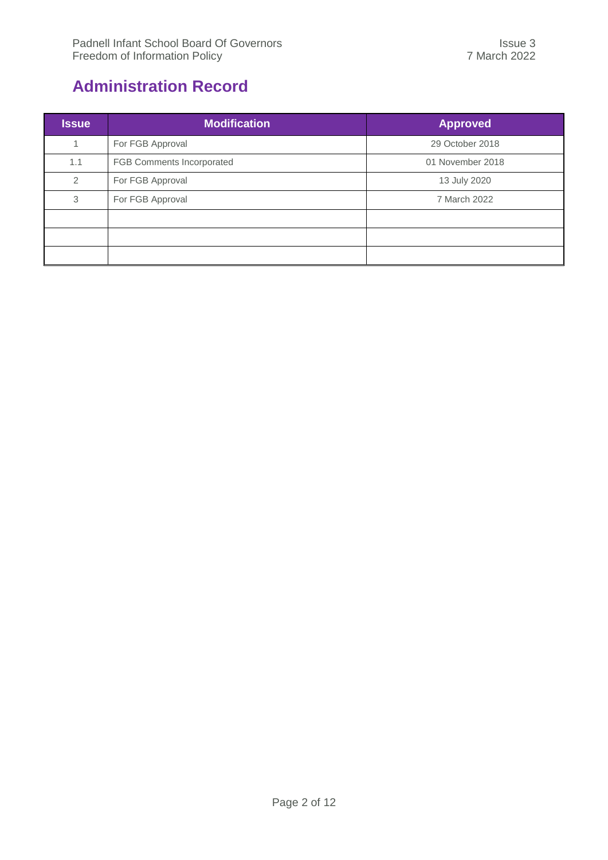# <span id="page-1-0"></span>**Administration Record**

| <b>Issue</b> | <b>Modification</b>       | <b>Approved</b>  |
|--------------|---------------------------|------------------|
| 1            | For FGB Approval          | 29 October 2018  |
| 1.1          | FGB Comments Incorporated | 01 November 2018 |
| 2            | For FGB Approval          | 13 July 2020     |
| 3            | For FGB Approval          | 7 March 2022     |
|              |                           |                  |
|              |                           |                  |
|              |                           |                  |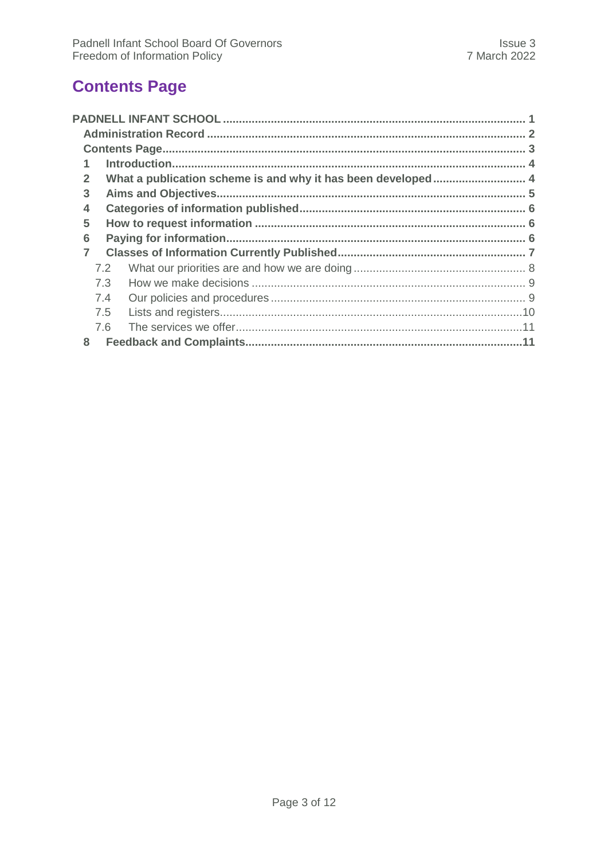# <span id="page-2-0"></span>**Contents Page**

| $\mathbf{2}$   |     | What a publication scheme is and why it has been developed 4 |  |  |
|----------------|-----|--------------------------------------------------------------|--|--|
| 3              |     |                                                              |  |  |
| 4              |     |                                                              |  |  |
| 5              |     |                                                              |  |  |
| 6              |     |                                                              |  |  |
| $\overline{7}$ |     |                                                              |  |  |
|                | 7.2 |                                                              |  |  |
|                | 7.3 |                                                              |  |  |
|                | 7.4 |                                                              |  |  |
|                | 7.5 |                                                              |  |  |
|                | 7.6 |                                                              |  |  |
| 8              |     |                                                              |  |  |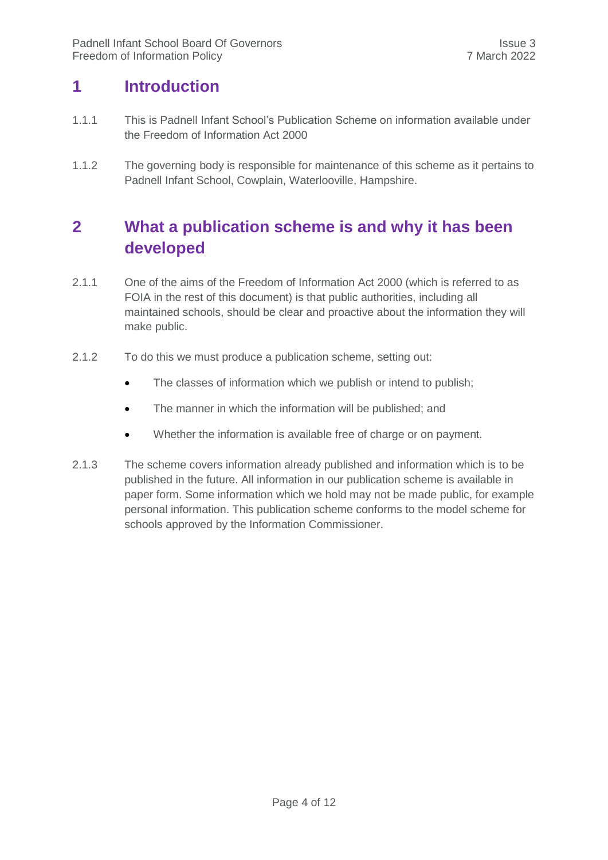### <span id="page-3-0"></span>**1 Introduction**

- 1.1.1 This is Padnell Infant School's Publication Scheme on information available under the Freedom of Information Act 2000
- 1.1.2 The governing body is responsible for maintenance of this scheme as it pertains to Padnell Infant School, Cowplain, Waterlooville, Hampshire.

# <span id="page-3-1"></span>**2 What a publication scheme is and why it has been developed**

- 2.1.1 One of the aims of the Freedom of Information Act 2000 (which is referred to as FOIA in the rest of this document) is that public authorities, including all maintained schools, should be clear and proactive about the information they will make public.
- 2.1.2 To do this we must produce a publication scheme, setting out:
	- The classes of information which we publish or intend to publish;
	- The manner in which the information will be published; and
	- Whether the information is available free of charge or on payment.
- 2.1.3 The scheme covers information already published and information which is to be published in the future. All information in our publication scheme is available in paper form. Some information which we hold may not be made public, for example personal information. This publication scheme conforms to the model scheme for schools approved by the Information Commissioner.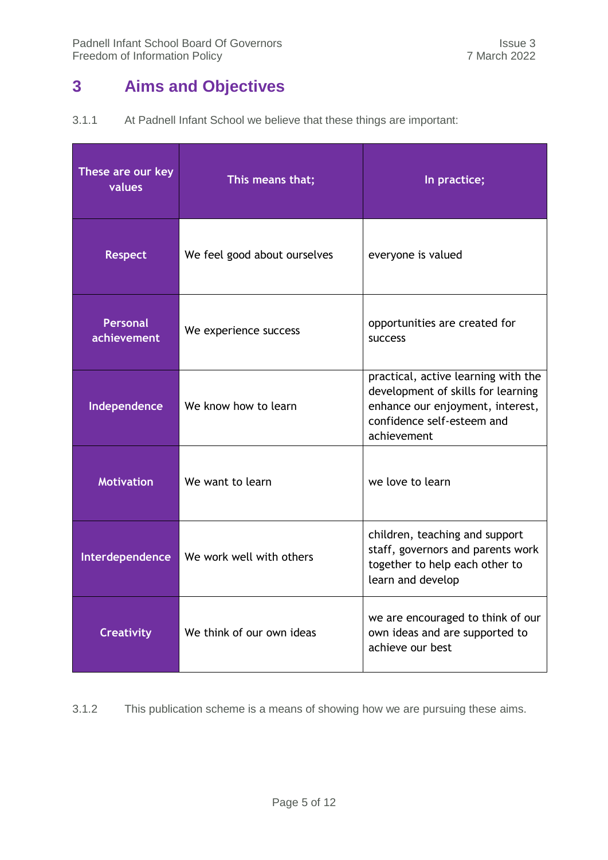# <span id="page-4-0"></span>**3 Aims and Objectives**

| 3.1.1 | At Padnell Infant School we believe that these things are important: |  |  |  |  |
|-------|----------------------------------------------------------------------|--|--|--|--|
|-------|----------------------------------------------------------------------|--|--|--|--|

| These are our key<br>values    | This means that;             | In practice;                                                                                                                                               |
|--------------------------------|------------------------------|------------------------------------------------------------------------------------------------------------------------------------------------------------|
| <b>Respect</b>                 | We feel good about ourselves | everyone is valued                                                                                                                                         |
| <b>Personal</b><br>achievement | We experience success        | opportunities are created for<br><b>SUCCESS</b>                                                                                                            |
| Independence                   | We know how to learn         | practical, active learning with the<br>development of skills for learning<br>enhance our enjoyment, interest,<br>confidence self-esteem and<br>achievement |
| <b>Motivation</b>              | We want to learn             | we love to learn                                                                                                                                           |
| Interdependence                | We work well with others     | children, teaching and support<br>staff, governors and parents work<br>together to help each other to<br>learn and develop                                 |
| <b>Creativity</b>              | We think of our own ideas    | we are encouraged to think of our<br>own ideas and are supported to<br>achieve our best                                                                    |

3.1.2 This publication scheme is a means of showing how we are pursuing these aims.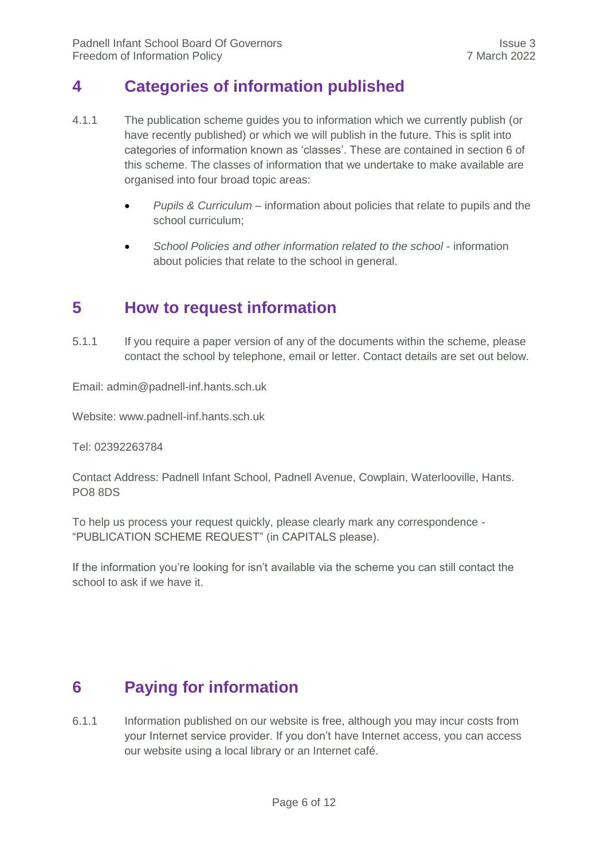### <span id="page-5-0"></span>**4 Categories of information published**

- 4.1.1 The publication scheme guides you to information which we currently publish (or have recently published) or which we will publish in the future. This is split into categories of information known as 'classes'. These are contained in section 6 of this scheme. The classes of information that we undertake to make available are organised into four broad topic areas:
	- *Pupils & Curriculum* information about policies that relate to pupils and the school curriculum;
	- School Policies and other information related to the school information about policies that relate to the school in general.

### <span id="page-5-1"></span>**5 How to request information**

5.1.1 If you require a paper version of any of the documents within the scheme, please contact the school by telephone, email or letter. Contact details are set out below.

Email: [admin@padnell-inf.hants.sch.uk](mailto:admin@padnell-inf.hants.sch.uk)

Website: www.padnell-inf.hants.sch.uk

Tel: 02392263784

Contact Address: Padnell Infant School, Padnell Avenue, Cowplain, Waterlooville, Hants. PO8 8DS

To help us process your request quickly, please clearly mark any correspondence - "PUBLICATION SCHEME REQUEST" (in CAPITALS please).

If the information you're looking for isn't available via the scheme you can still contact the school to ask if we have it.

### <span id="page-5-2"></span>**6 Paying for information**

6.1.1 Information published on our website is free, although you may incur costs from your Internet service provider. If you don't have Internet access, you can access our website using a local library or an Internet café.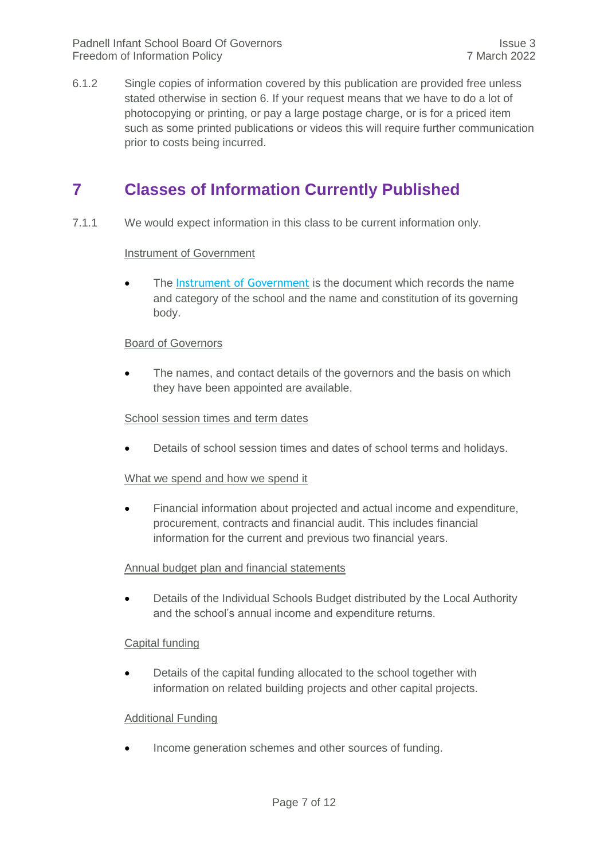6.1.2 Single copies of information covered by this publication are provided free unless stated otherwise in section 6. If your request means that we have to do a lot of photocopying or printing, or pay a large postage charge, or is for a priced item such as some printed publications or videos this will require further communication prior to costs being incurred.

### <span id="page-6-0"></span>**7 Classes of Information Currently Published**

7.1.1 We would expect information in this class to be current information only.

#### **Instrument of Government**

• The [Instrument of Government](javascript:popUpJargonDefinition(388)) is the document which records the name and category of the school and the name and constitution of its governing body.

#### Board of Governors

• The names, and contact details of the governors and the basis on which they have been appointed are available.

#### School session times and term dates

Details of school session times and dates of school terms and holidays.

#### What we spend and how we spend it

 Financial information about projected and actual income and expenditure, procurement, contracts and financial audit. This includes financial information for the current and previous two financial years.

#### Annual budget plan and financial statements

 Details of the Individual Schools Budget distributed by the Local Authority and the school's annual income and expenditure returns.

#### Capital funding

 Details of the capital funding allocated to the school together with information on related building projects and other capital projects.

#### Additional Funding

Income generation schemes and other sources of funding.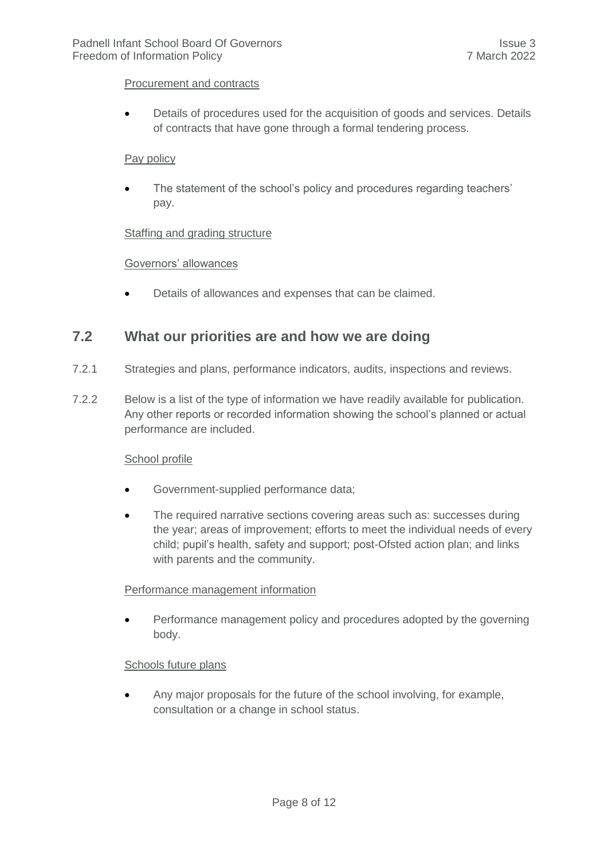#### Procurement and contracts

 Details of procedures used for the acquisition of goods and services. Details of contracts that have gone through a formal tendering process.

#### Pay policy

 The statement of the school's policy and procedures regarding teachers' pay.

#### Staffing and grading structure

#### Governors' allowances

Details of allowances and expenses that can be claimed.

#### <span id="page-7-0"></span>**7.2 What our priorities are and how we are doing**

- 7.2.1 Strategies and plans, performance indicators, audits, inspections and reviews.
- 7.2.2 Below is a list of the type of information we have readily available for publication. Any other reports or recorded information showing the school's planned or actual performance are included.

#### School profile

- Government-supplied performance data;
- The required narrative sections covering areas such as: successes during the year; areas of improvement; efforts to meet the individual needs of every child; pupil's health, safety and support; post-Ofsted action plan; and links with parents and the community.

#### Performance management information

 Performance management policy and procedures adopted by the governing body.

#### Schools future plans

 Any major proposals for the future of the school involving, for example, consultation or a change in school status.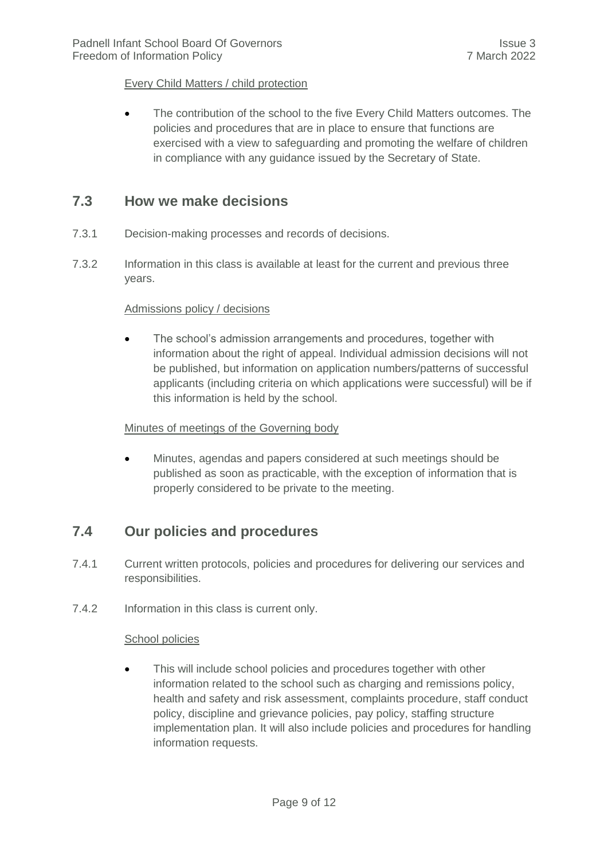#### Every Child Matters / child protection

 The contribution of the school to the five Every Child Matters outcomes. The policies and procedures that are in place to ensure that functions are exercised with a view to safeguarding and promoting the welfare of children in compliance with any guidance issued by the Secretary of State.

#### <span id="page-8-0"></span>**7.3 How we make decisions**

- 7.3.1 Decision-making processes and records of decisions.
- 7.3.2 Information in this class is available at least for the current and previous three years.

#### Admissions policy / decisions

• The school's admission arrangements and procedures, together with information about the right of appeal. Individual admission decisions will not be published, but information on application numbers/patterns of successful applicants (including criteria on which applications were successful) will be if this information is held by the school.

#### Minutes of meetings of the Governing body

 Minutes, agendas and papers considered at such meetings should be published as soon as practicable, with the exception of information that is properly considered to be private to the meeting.

#### <span id="page-8-1"></span>**7.4 Our policies and procedures**

- 7.4.1 Current written protocols, policies and procedures for delivering our services and responsibilities.
- 7.4.2 Information in this class is current only.

#### School policies

 This will include school policies and procedures together with other information related to the school such as charging and remissions policy, health and safety and risk assessment, complaints procedure, staff conduct policy, discipline and grievance policies, pay policy, staffing structure implementation plan. It will also include policies and procedures for handling information requests.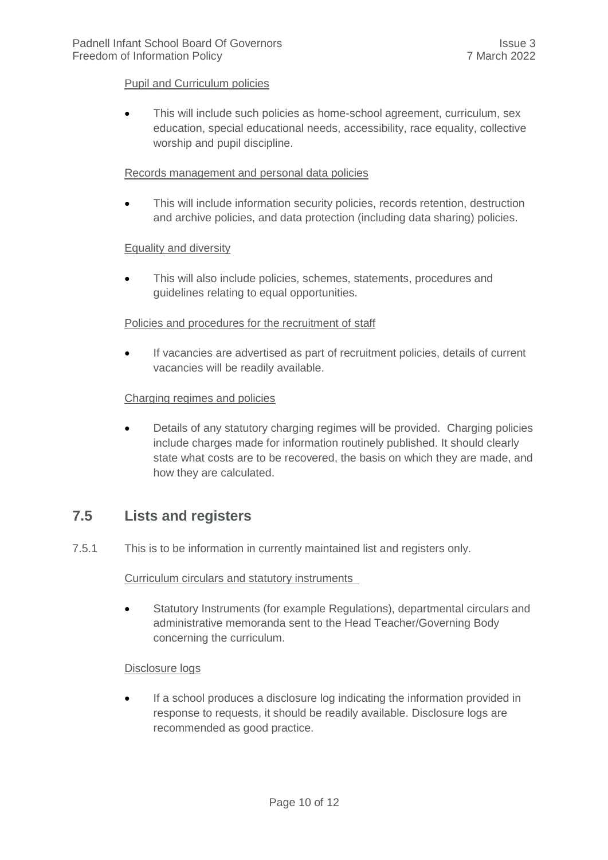#### Pupil and Curriculum policies

• This will include such policies as home-school agreement, curriculum, sex education, special educational needs, accessibility, race equality, collective worship and pupil discipline.

#### Records management and personal data policies

 This will include information security policies, records retention, destruction and archive policies, and data protection (including data sharing) policies.

#### Equality and diversity

 This will also include policies, schemes, statements, procedures and guidelines relating to equal opportunities.

#### Policies and procedures for the recruitment of staff

 If vacancies are advertised as part of recruitment policies, details of current vacancies will be readily available.

#### Charging regimes and policies

 Details of any statutory charging regimes will be provided. Charging policies include charges made for information routinely published. It should clearly state what costs are to be recovered, the basis on which they are made, and how they are calculated.

#### <span id="page-9-0"></span>**7.5 Lists and registers**

7.5.1 This is to be information in currently maintained list and registers only.

#### Curriculum circulars and statutory instruments

 Statutory Instruments (for example Regulations), departmental circulars and administrative memoranda sent to the Head Teacher/Governing Body concerning the curriculum.

#### Disclosure logs

 If a school produces a disclosure log indicating the information provided in response to requests, it should be readily available. Disclosure logs are recommended as good practice.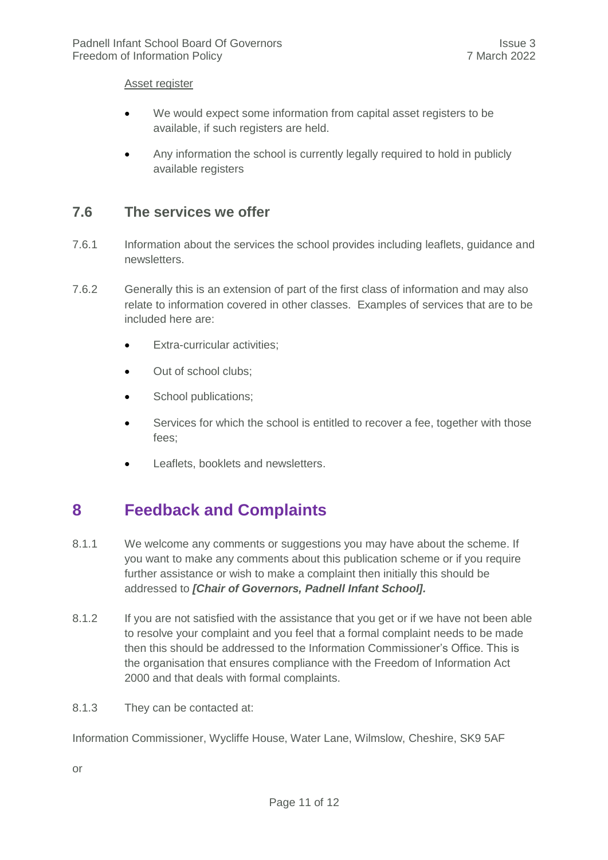#### Asset register

- We would expect some information from capital asset registers to be available, if such registers are held.
- Any information the school is currently legally required to hold in publicly available registers

#### <span id="page-10-0"></span>**7.6 The services we offer**

- 7.6.1 Information about the services the school provides including leaflets, guidance and newsletters.
- 7.6.2 Generally this is an extension of part of the first class of information and may also relate to information covered in other classes. Examples of services that are to be included here are:
	- **•** Extra-curricular activities;
	- Out of school clubs;
	- School publications;
	- Services for which the school is entitled to recover a fee, together with those fees;
	- Leaflets, booklets and newsletters.

## <span id="page-10-1"></span>**8 Feedback and Complaints**

- 8.1.1 We welcome any comments or suggestions you may have about the scheme. If you want to make any comments about this publication scheme or if you require further assistance or wish to make a complaint then initially this should be addressed to *[Chair of Governors, Padnell Infant School].*
- 8.1.2 If you are not satisfied with the assistance that you get or if we have not been able to resolve your complaint and you feel that a formal complaint needs to be made then this should be addressed to the Information Commissioner's Office. This is the organisation that ensures compliance with the Freedom of Information Act 2000 and that deals with formal complaints.
- 8.1.3 They can be contacted at:

Information Commissioner, Wycliffe House, Water Lane, Wilmslow, Cheshire, SK9 5AF